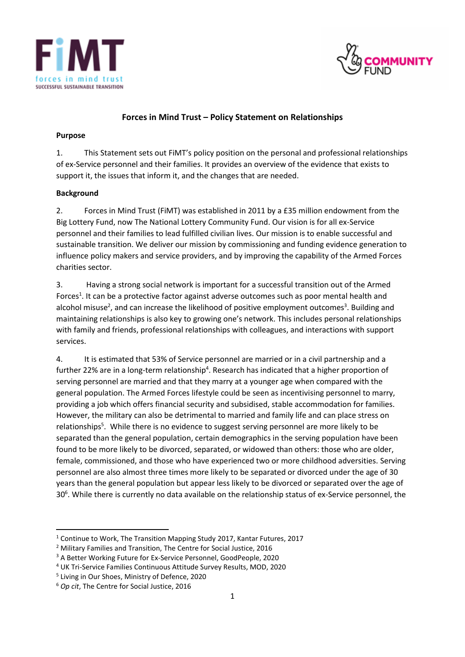



# **Forces in Mind Trust – Policy Statement on Relationships**

#### **Purpose**

1. This Statement sets out FiMT's policy position on the personal and professional relationships of ex-Service personnel and their families. It provides an overview of the evidence that exists to support it, the issues that inform it, and the changes that are needed.

### **Background**

2. Forces in Mind Trust (FiMT) was established in 2011 by a £35 million endowment from the Big Lottery Fund, now The National Lottery Community Fund. Our vision is for all ex-Service personnel and their families to lead fulfilled civilian lives. Our mission is to enable successful and sustainable transition. We deliver our mission by commissioning and funding evidence generation to influence policy makers and service providers, and by improving the capability of the Armed Forces charities sector.

3. Having a strong social network is important for a successful transition out of the Armed Forces<sup>1</sup>. It can be a protective factor against adverse outcomes such as poor mental health and alcohol misuse<sup>2</sup>, and can increase the likelihood of positive employment outcomes<sup>3</sup>. Building and maintaining relationships is also key to growing one's network. This includes personal relationships with family and friends, professional relationships with colleagues, and interactions with support services.

4. It is estimated that 53% of Service personnel are married or in a civil partnership and a further 22% are in a long-term relationship<sup>4</sup>. Research has indicated that a higher proportion of serving personnel are married and that they marry at a younger age when compared with the general population. The Armed Forces lifestyle could be seen as incentivising personnel to marry, providing a job which offers financial security and subsidised, stable accommodation for families. However, the military can also be detrimental to married and family life and can place stress on relationships<sup>5</sup>. While there is no evidence to suggest serving personnel are more likely to be separated than the general population, certain demographics in the serving population have been found to be more likely to be divorced, separated, or widowed than others: those who are older, female, commissioned, and those who have experienced two or more childhood adversities. Serving personnel are also almost three times more likely to be separated or divorced under the age of 30 years than the general population but appear less likely to be divorced or separated over the age of 30<sup>6</sup>. While there is currently no data available on the relationship status of ex-Service personnel, the

<sup>1</sup> Continue to Work, The Transition Mapping Study 2017, Kantar Futures, 2017

<sup>2</sup> Military Families and Transition, The Centre for Social Justice, 2016

<sup>&</sup>lt;sup>3</sup> A Better Working Future for Ex-Service Personnel, GoodPeople, 2020

<sup>4</sup> UK Tri-Service Families Continuous Attitude Survey Results, MOD, 2020

<sup>5</sup> Living in Our Shoes, Ministry of Defence, 2020

<sup>6</sup> *Op cit*, The Centre for Social Justice, 2016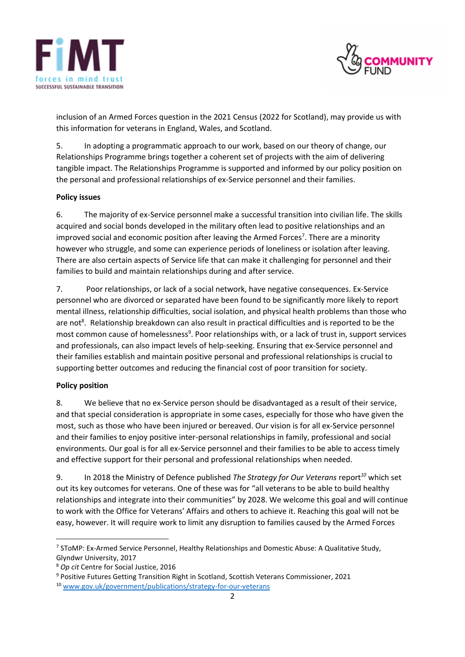



inclusion of an Armed Forces question in the 2021 Census (2022 for Scotland), may provide us with this information for veterans in England, Wales, and Scotland.

5. In adopting a programmatic approach to our work, based on our theory of change, our Relationships Programme brings together a coherent set of projects with the aim of delivering tangible impact. The Relationships Programme is supported and informed by our policy position on the personal and professional relationships of ex-Service personnel and their families.

# **Policy issues**

6. The majority of ex-Service personnel make a successful transition into civilian life. The skills acquired and social bonds developed in the military often lead to positive relationships and an improved social and economic position after leaving the Armed Forces<sup>7</sup>. There are a minority however who struggle, and some can experience periods of loneliness or isolation after leaving. There are also certain aspects of Service life that can make it challenging for personnel and their families to build and maintain relationships during and after service.

7. Poor relationships, or lack of a social network, have negative consequences. Ex-Service personnel who are divorced or separated have been found to be significantly more likely to report mental illness, relationship difficulties, social isolation, and physical health problems than those who are not<sup>8</sup>. Relationship breakdown can also result in practical difficulties and is reported to be the most common cause of homelessness<sup>9</sup>. Poor relationships with, or a lack of trust in, support services and professionals, can also impact levels of help-seeking. Ensuring that ex-Service personnel and their families establish and maintain positive personal and professional relationships is crucial to supporting better outcomes and reducing the financial cost of poor transition for society.

### **Policy position**

8. We believe that no ex-Service person should be disadvantaged as a result of their service, and that special consideration is appropriate in some cases, especially for those who have given the most, such as those who have been injured or bereaved. Our vision is for all ex-Service personnel and their families to enjoy positive inter-personal relationships in family, professional and social environments. Our goal is for all ex-Service personnel and their families to be able to access timely and effective support for their personal and professional relationships when needed.

9. In 2018 the Ministry of Defence published *The Strategy for Our Veterans* report*<sup>10</sup>* which set out its key outcomes for veterans. One of these was for "all veterans to be able to build healthy relationships and integrate into their communities" by 2028. We welcome this goal and will continue to work with the Office for Veterans' Affairs and others to achieve it. Reaching this goal will not be easy, however. It will require work to limit any disruption to families caused by the Armed Forces

<sup>&</sup>lt;sup>7</sup> SToMP: Ex-Armed Service Personnel, Healthy Relationships and Domestic Abuse: A Qualitative Study, Glyndwr University, 2017

<sup>8</sup> *Op cit* Centre for Social Justice, 2016

<sup>9</sup> Positive Futures Getting Transition Right in Scotland, Scottish Veterans Commissioner, 2021

<sup>10</sup> [www.gov.uk/government/publications/strategy-for-our-veterans](http://www.gov.uk/government/publications/strategy-for-our-veterans)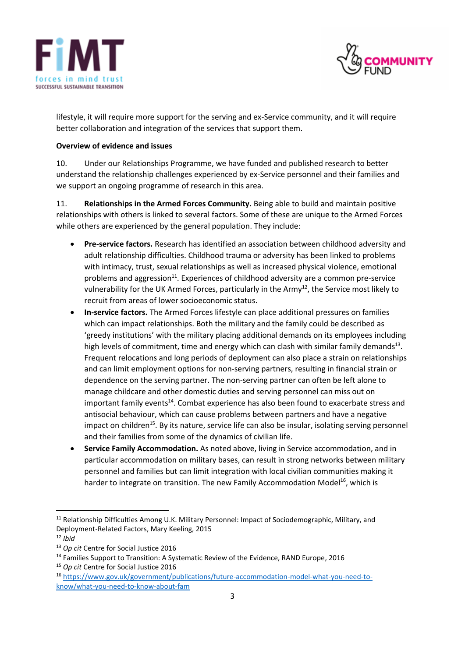



lifestyle, it will require more support for the serving and ex-Service community, and it will require better collaboration and integration of the services that support them.

## **Overview of evidence and issues**

10. Under our Relationships Programme, we have funded and published research to better understand the relationship challenges experienced by ex-Service personnel and their families and we support an ongoing programme of research in this area.

11. **Relationships in the Armed Forces Community.** Being able to build and maintain positive relationships with others is linked to several factors. Some of these are unique to the Armed Forces while others are experienced by the general population. They include:

- **Pre-service factors.** Research has identified an association between childhood adversity and adult relationship difficulties. Childhood trauma or adversity has been linked to problems with intimacy, trust, sexual relationships as well as increased physical violence, emotional problems and aggression<sup>11</sup>. Experiences of childhood adversity are a common pre-service vulnerability for the UK Armed Forces, particularly in the Army<sup>12</sup>, the Service most likely to recruit from areas of lower socioeconomic status.
- **In-service factors.** The Armed Forces lifestyle can place additional pressures on families which can impact relationships. Both the military and the family could be described as 'greedy institutions' with the military placing additional demands on its employees including high levels of commitment, time and energy which can clash with similar family demands<sup>13</sup>. Frequent relocations and long periods of deployment can also place a strain on relationships and can limit employment options for non-serving partners, resulting in financial strain or dependence on the serving partner. The non-serving partner can often be left alone to manage childcare and other domestic duties and serving personnel can miss out on important family events<sup>14</sup>. Combat experience has also been found to exacerbate stress and antisocial behaviour, which can cause problems between partners and have a negative impact on children<sup>15</sup>. By its nature, service life can also be insular, isolating serving personnel and their families from some of the dynamics of civilian life.
- **Service Family Accommodation.** As noted above, living in Service accommodation, and in particular accommodation on military bases, can result in strong networks between military personnel and families but can limit integration with local civilian communities making it harder to integrate on transition. The new Family Accommodation Model<sup>16</sup>, which is

<sup>11</sup> Relationship Difficulties Among U.K. Military Personnel: Impact of Sociodemographic, Military, and Deployment-Related Factors, Mary Keeling, 2015

<sup>12</sup> *Ibid*

<sup>13</sup> *Op cit* Centre for Social Justice 2016

<sup>&</sup>lt;sup>14</sup> Families Support to Transition: A Systematic Review of the Evidence, RAND Europe, 2016

<sup>15</sup> *Op cit* Centre for Social Justice 2016

<sup>16</sup> [https://www.gov.uk/government/publications/future-accommodation-model-what-you-need-to](https://www.gov.uk/government/publications/future-accommodation-model-what-you-need-to-know/what-you-need-to-know-about-fam)[know/what-you-need-to-know-about-fam](https://www.gov.uk/government/publications/future-accommodation-model-what-you-need-to-know/what-you-need-to-know-about-fam)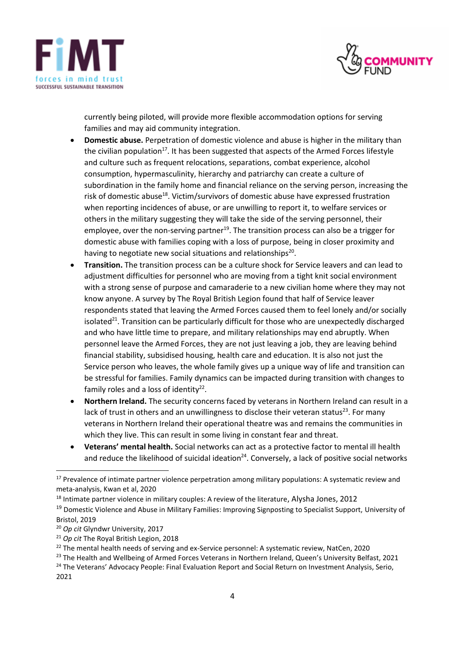



currently being piloted, will provide more flexible accommodation options for serving families and may aid community integration.

- **Domestic abuse.** Perpetration of domestic violence and abuse is higher in the military than the civilian population<sup>17</sup>. It has been suggested that aspects of the Armed Forces lifestyle and culture such as frequent relocations, separations, combat experience, alcohol consumption, hypermasculinity, hierarchy and patriarchy can create a culture of subordination in the family home and financial reliance on the serving person, increasing the risk of domestic abuse<sup>18</sup>. Victim/survivors of domestic abuse have expressed frustration when reporting incidences of abuse, or are unwilling to report it, to welfare services or others in the military suggesting they will take the side of the serving personnel, their employee, over the non-serving partner<sup>19</sup>. The transition process can also be a trigger for domestic abuse with families coping with a loss of purpose, being in closer proximity and having to negotiate new social situations and relationships<sup>20</sup>.
- **Transition.** The transition process can be a culture shock for Service leavers and can lead to adjustment difficulties for personnel who are moving from a tight knit social environment with a strong sense of purpose and camaraderie to a new civilian home where they may not know anyone. A survey by The Royal British Legion found that half of Service leaver respondents stated that leaving the Armed Forces caused them to feel lonely and/or socially isolated<sup>21</sup>. Transition can be particularly difficult for those who are unexpectedly discharged and who have little time to prepare, and military relationships may end abruptly. When personnel leave the Armed Forces, they are not just leaving a job, they are leaving behind financial stability, subsidised housing, health care and education. It is also not just the Service person who leaves, the whole family gives up a unique way of life and transition can be stressful for families. Family dynamics can be impacted during transition with changes to family roles and a loss of identity $22$ .
- **Northern Ireland.** The security concerns faced by veterans in Northern Ireland can result in a lack of trust in others and an unwillingness to disclose their veteran status<sup>23</sup>. For many veterans in Northern Ireland their operational theatre was and remains the communities in which they live. This can result in some living in constant fear and threat.
- **Veterans' mental health.** Social networks can act as a protective factor to mental ill health and reduce the likelihood of suicidal ideation<sup>24</sup>. Conversely, a lack of positive social networks

<sup>&</sup>lt;sup>17</sup> Prevalence of intimate partner violence perpetration among military populations: A systematic review and meta-analysis, Kwan et al, 2020

<sup>&</sup>lt;sup>18</sup> Intimate partner violence in military couples: A review of the literature, Alysha Jones, 2012

<sup>&</sup>lt;sup>19</sup> Domestic Violence and Abuse in Military Families: Improving Signposting to Specialist Support, University of Bristol, 2019

<sup>20</sup> *Op cit* Glyndwr University, 2017

<sup>21</sup> *Op cit* The Royal British Legion, 2018

<sup>&</sup>lt;sup>22</sup> The mental health needs of serving and ex-Service personnel: A systematic review, NatCen, 2020

<sup>&</sup>lt;sup>23</sup> The Health and Wellbeing of Armed Forces Veterans in Northern Ireland, Queen's University Belfast, 2021

<sup>&</sup>lt;sup>24</sup> The Veterans' Advocacy People: Final Evaluation Report and Social Return on Investment Analysis, Serio,

<sup>2021</sup>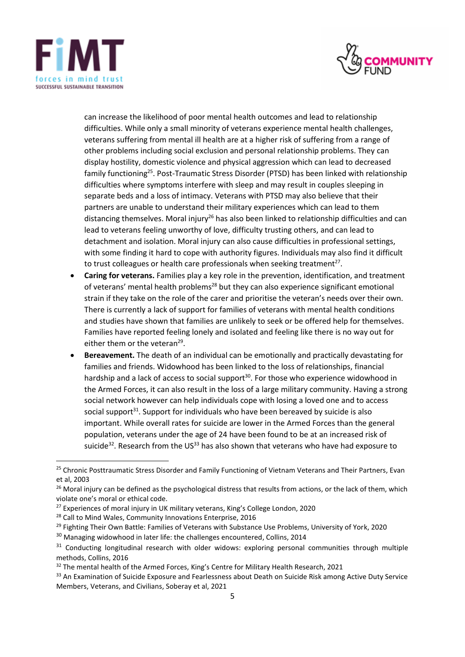



can increase the likelihood of poor mental health outcomes and lead to relationship difficulties. While only a small minority of veterans experience mental health challenges, veterans suffering from mental ill health are at a higher risk of suffering from a range of other problems including social exclusion and personal relationship problems. They can display hostility, domestic violence and physical aggression which can lead to decreased family functioning<sup>25</sup>. Post-Traumatic Stress Disorder (PTSD) has been linked with relationship difficulties where symptoms interfere with sleep and may result in couples sleeping in separate beds and a loss of intimacy. Veterans with PTSD may also believe that their partners are unable to understand their military experiences which can lead to them distancing themselves. Moral injury<sup>26</sup> has also been linked to relationship difficulties and can lead to veterans feeling unworthy of love, difficulty trusting others, and can lead to detachment and isolation. Moral injury can also cause difficulties in professional settings, with some finding it hard to cope with authority figures. Individuals may also find it difficult to trust colleagues or health care professionals when seeking treatment<sup>27</sup>.

- **Caring for veterans.** Families play a key role in the prevention, identification, and treatment of veterans' mental health problems<sup>28</sup> but they can also experience significant emotional strain if they take on the role of the carer and prioritise the veteran's needs over their own. There is currently a lack of support for families of veterans with mental health conditions and studies have shown that families are unlikely to seek or be offered help for themselves. Families have reported feeling lonely and isolated and feeling like there is no way out for either them or the veteran<sup>29</sup>.
- **Bereavement.** The death of an individual can be emotionally and practically devastating for families and friends. Widowhood has been linked to the loss of relationships, financial hardship and a lack of access to social support<sup>30</sup>. For those who experience widowhood in the Armed Forces, it can also result in the loss of a large military community. Having a strong social network however can help individuals cope with losing a loved one and to access social support<sup>31</sup>. Support for individuals who have been bereaved by suicide is also important. While overall rates for suicide are lower in the Armed Forces than the general population, veterans under the age of 24 have been found to be at an increased risk of suicide<sup>32</sup>. Research from the US<sup>33</sup> has also shown that veterans who have had exposure to

<sup>29</sup> Fighting Their Own Battle: Families of Veterans with Substance Use Problems, University of York, 2020

<sup>&</sup>lt;sup>25</sup> Chronic Posttraumatic Stress Disorder and Family Functioning of Vietnam Veterans and Their Partners, Evan et al, 2003

<sup>&</sup>lt;sup>26</sup> Moral injury can be defined as the psychological distress that results from actions, or the lack of them, which violate one's moral or ethical code.

 $27$  Experiences of moral injury in UK military veterans, King's College London, 2020

<sup>&</sup>lt;sup>28</sup> Call to Mind Wales, Community Innovations Enterprise, 2016

<sup>&</sup>lt;sup>30</sup> Managing widowhood in later life: the challenges encountered, Collins, 2014

<sup>&</sup>lt;sup>31</sup> Conducting longitudinal research with older widows: exploring personal communities through multiple methods, Collins, 2016

<sup>&</sup>lt;sup>32</sup> The mental health of the Armed Forces, King's Centre for Military Health Research, 2021

<sup>&</sup>lt;sup>33</sup> An Examination of Suicide Exposure and Fearlessness about Death on Suicide Risk among Active Duty Service Members, Veterans, and Civilians, Soberay et al, 2021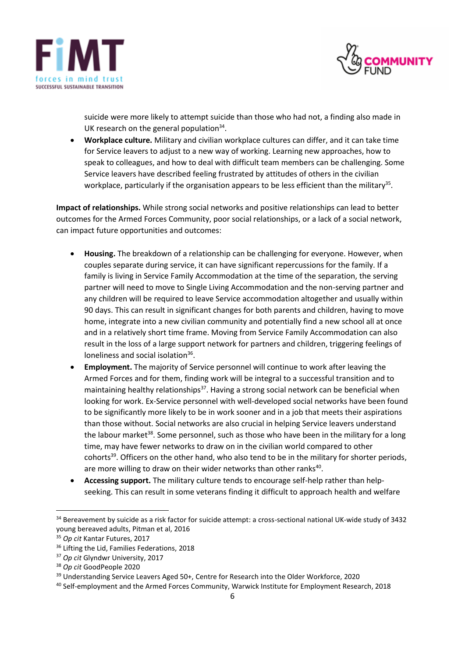



suicide were more likely to attempt suicide than those who had not, a finding also made in UK research on the general population $34$ .

• **Workplace culture.** Military and civilian workplace cultures can differ, and it can take time for Service leavers to adjust to a new way of working. Learning new approaches, how to speak to colleagues, and how to deal with difficult team members can be challenging. Some Service leavers have described feeling frustrated by attitudes of others in the civilian workplace, particularly if the organisation appears to be less efficient than the military<sup>35</sup>.

**Impact of relationships.** While strong social networks and positive relationships can lead to better outcomes for the Armed Forces Community, poor social relationships, or a lack of a social network, can impact future opportunities and outcomes:

- **Housing.** The breakdown of a relationship can be challenging for everyone. However, when couples separate during service, it can have significant repercussions for the family. If a family is living in Service Family Accommodation at the time of the separation, the serving partner will need to move to Single Living Accommodation and the non-serving partner and any children will be required to leave Service accommodation altogether and usually within 90 days. This can result in significant changes for both parents and children, having to move home, integrate into a new civilian community and potentially find a new school all at once and in a relatively short time frame. Moving from Service Family Accommodation can also result in the loss of a large support network for partners and children, triggering feelings of loneliness and social isolation<sup>36</sup>.
- **Employment.** The majority of Service personnel will continue to work after leaving the Armed Forces and for them, finding work will be integral to a successful transition and to maintaining healthy relationships<sup>37</sup>. Having a strong social network can be beneficial when looking for work. Ex-Service personnel with well-developed social networks have been found to be significantly more likely to be in work sooner and in a job that meets their aspirations than those without. Social networks are also crucial in helping Service leavers understand the labour market<sup>38</sup>. Some personnel, such as those who have been in the military for a long time, may have fewer networks to draw on in the civilian world compared to other cohorts<sup>39</sup>. Officers on the other hand, who also tend to be in the military for shorter periods, are more willing to draw on their wider networks than other ranks<sup>40</sup>.
- **Accessing support.** The military culture tends to encourage self-help rather than helpseeking. This can result in some veterans finding it difficult to approach health and welfare

<sup>&</sup>lt;sup>34</sup> Bereavement by suicide as a risk factor for suicide attempt: a cross-sectional national UK-wide study of 3432 young bereaved adults, Pitman et al, 2016

<sup>35</sup> *Op cit* Kantar Futures, 2017

<sup>&</sup>lt;sup>36</sup> Lifting the Lid, Families Federations, 2018

<sup>37</sup> *Op cit* Glyndwr University, 2017

<sup>38</sup> *Op cit* GoodPeople 2020

<sup>&</sup>lt;sup>39</sup> Understanding Service Leavers Aged 50+, Centre for Research into the Older Workforce, 2020

<sup>40</sup> Self-employment and the Armed Forces Community, Warwick Institute for Employment Research, 2018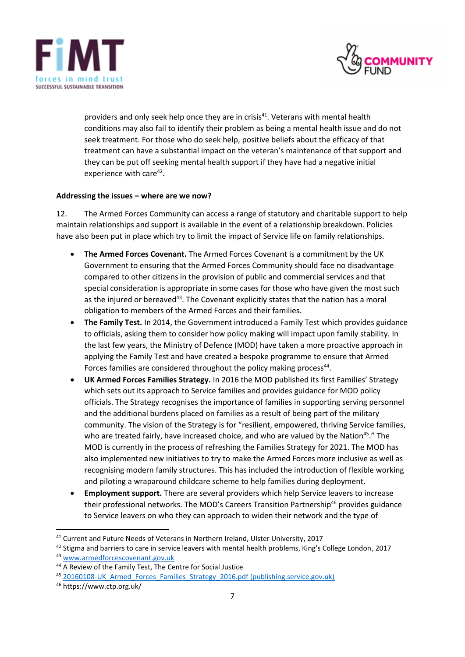



providers and only seek help once they are in crisis<sup>41</sup>. Veterans with mental health conditions may also fail to identify their problem as being a mental health issue and do not seek treatment. For those who do seek help, positive beliefs about the efficacy of that treatment can have a substantial impact on the veteran's maintenance of that support and they can be put off seeking mental health support if they have had a negative initial experience with care<sup>42</sup>.

### **Addressing the issues – where are we now?**

12. The Armed Forces Community can access a range of statutory and charitable support to help maintain relationships and support is available in the event of a relationship breakdown. Policies have also been put in place which try to limit the impact of Service life on family relationships.

- **The Armed Forces Covenant.** The Armed Forces Covenant is a commitment by the UK Government to ensuring that the Armed Forces Community should face no disadvantage compared to other citizens in the provision of public and commercial services and that special consideration is appropriate in some cases for those who have given the most such as the injured or bereaved<sup>43</sup>. The Covenant explicitly states that the nation has a moral obligation to members of the Armed Forces and their families.
- **The Family Test.** In 2014, the Government introduced a Family Test which provides guidance to officials, asking them to consider how policy making will impact upon family stability. In the last few years, the Ministry of Defence (MOD) have taken a more proactive approach in applying the Family Test and have created a bespoke programme to ensure that Armed Forces families are considered throughout the policy making process<sup>44</sup>.
- **UK Armed Forces Families Strategy.** In 2016 the MOD published its first Families' Strategy which sets out its approach to Service families and provides guidance for MOD policy officials. The Strategy recognises the importance of families in supporting serving personnel and the additional burdens placed on families as a result of being part of the military community. The vision of the Strategy is for "resilient, empowered, thriving Service families, who are treated fairly, have increased choice, and who are valued by the Nation<sup>45</sup>." The MOD is currently in the process of refreshing the Families Strategy for 2021. The MOD has also implemented new initiatives to try to make the Armed Forces more inclusive as well as recognising modern family structures. This has included the introduction of flexible working and piloting a wraparound childcare scheme to help families during deployment.
- **Employment support.** There are several providers which help Service leavers to increase their professional networks. The MOD's Careers Transition Partnership<sup>46</sup> provides guidance to Service leavers on who they can approach to widen their network and the type of

<sup>41</sup> Current and Future Needs of Veterans in Northern Ireland, Ulster University, 2017

<sup>&</sup>lt;sup>42</sup> Stigma and barriers to care in service leavers with mental health problems, King's College London, 2017

<sup>43</sup> [www.armedforcescovenant.gov.uk](http://www.armedforcescovenant.gov.uk/)

<sup>44</sup> A Review of the Family Test, The Centre for Social Justice

<sup>45 20160108-</sup>UK Armed Forces Families Strategy 2016.pdf (publishing.service.gov.uk)

<sup>46</sup> https://www.ctp.org.uk/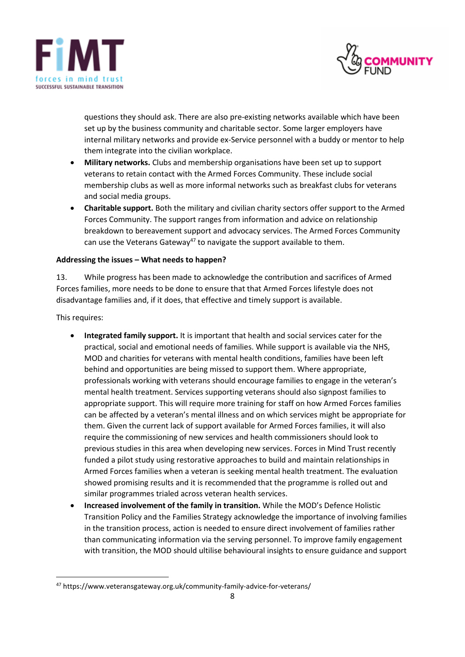



questions they should ask. There are also pre-existing networks available which have been set up by the business community and charitable sector. Some larger employers have internal military networks and provide ex-Service personnel with a buddy or mentor to help them integrate into the civilian workplace.

- **Military networks.** Clubs and membership organisations have been set up to support veterans to retain contact with the Armed Forces Community. These include social membership clubs as well as more informal networks such as breakfast clubs for veterans and social media groups.
- **Charitable support.** Both the military and civilian charity sectors offer support to the Armed Forces Community. The support ranges from information and advice on relationship breakdown to bereavement support and advocacy services. The Armed Forces Community can use the Veterans Gateway<sup>47</sup> to navigate the support available to them.

### **Addressing the issues – What needs to happen?**

13. While progress has been made to acknowledge the contribution and sacrifices of Armed Forces families, more needs to be done to ensure that that Armed Forces lifestyle does not disadvantage families and, if it does, that effective and timely support is available.

This requires:

- **Integrated family support.** It is important that health and social services cater for the practical, social and emotional needs of families. While support is available via the NHS, MOD and charities for veterans with mental health conditions, families have been left behind and opportunities are being missed to support them. Where appropriate, professionals working with veterans should encourage families to engage in the veteran's mental health treatment. Services supporting veterans should also signpost families to appropriate support. This will require more training for staff on how Armed Forces families can be affected by a veteran's mental illness and on which services might be appropriate for them. Given the current lack of support available for Armed Forces families, it will also require the commissioning of new services and health commissioners should look to previous studies in this area when developing new services. Forces in Mind Trust recently funded a pilot study using restorative approaches to build and maintain relationships in Armed Forces families when a veteran is seeking mental health treatment. The evaluation showed promising results and it is recommended that the programme is rolled out and similar programmes trialed across veteran health services.
- **Increased involvement of the family in transition.** While the MOD's Defence Holistic Transition Policy and the Families Strategy acknowledge the importance of involving families in the transition process, action is needed to ensure direct involvement of families rather than communicating information via the serving personnel. To improve family engagement with transition, the MOD should ultilise behavioural insights to ensure guidance and support

<sup>47</sup> https://www.veteransgateway.org.uk/community-family-advice-for-veterans/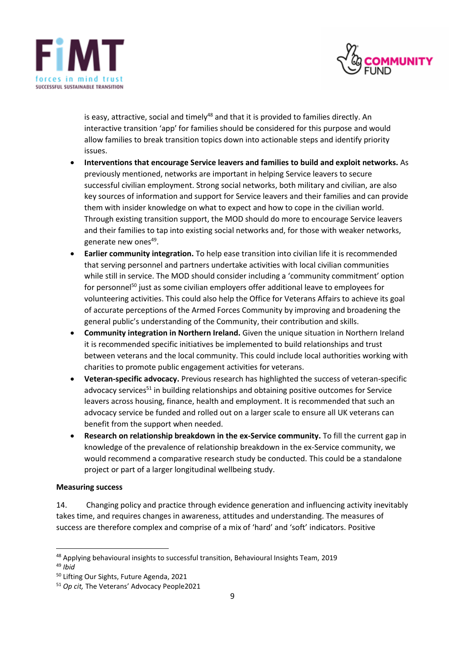



is easy, attractive, social and timely<sup>48</sup> and that it is provided to families directly. An interactive transition 'app' for families should be considered for this purpose and would allow families to break transition topics down into actionable steps and identify priority issues.

- **Interventions that encourage Service leavers and families to build and exploit networks.** As previously mentioned, networks are important in helping Service leavers to secure successful civilian employment. Strong social networks, both military and civilian, are also key sources of information and support for Service leavers and their families and can provide them with insider knowledge on what to expect and how to cope in the civilian world. Through existing transition support, the MOD should do more to encourage Service leavers and their families to tap into existing social networks and, for those with weaker networks, generate new ones<sup>49</sup>.
- **Earlier community integration.** To help ease transition into civilian life it is recommended that serving personnel and partners undertake activities with local civilian communities while still in service. The MOD should consider including a 'community commitment' option for personnel<sup>50</sup> just as some civilian employers offer additional leave to employees for volunteering activities. This could also help the Office for Veterans Affairs to achieve its goal of accurate perceptions of the Armed Forces Community by improving and broadening the general public's understanding of the Community, their contribution and skills.
- **Community integration in Northern Ireland.** Given the unique situation in Northern Ireland it is recommended specific initiatives be implemented to build relationships and trust between veterans and the local community. This could include local authorities working with charities to promote public engagement activities for veterans.
- **Veteran-specific advocacy.** Previous research has highlighted the success of veteran-specific advocacy services $51$  in building relationships and obtaining positive outcomes for Service leavers across housing, finance, health and employment. It is recommended that such an advocacy service be funded and rolled out on a larger scale to ensure all UK veterans can benefit from the support when needed.
- **Research on relationship breakdown in the ex-Service community.** To fill the current gap in knowledge of the prevalence of relationship breakdown in the ex-Service community, we would recommend a comparative research study be conducted. This could be a standalone project or part of a larger longitudinal wellbeing study.

### **Measuring success**

14. Changing policy and practice through evidence generation and influencing activity inevitably takes time, and requires changes in awareness, attitudes and understanding. The measures of success are therefore complex and comprise of a mix of 'hard' and 'soft' indicators. Positive

<sup>49</sup> *Ibid*

<sup>48</sup> Applying behavioural insights to successful transition, Behavioural Insights Team, 2019

<sup>50</sup> Lifting Our Sights, Future Agenda, 2021

<sup>51</sup> *Op cit,* The Veterans' Advocacy People2021